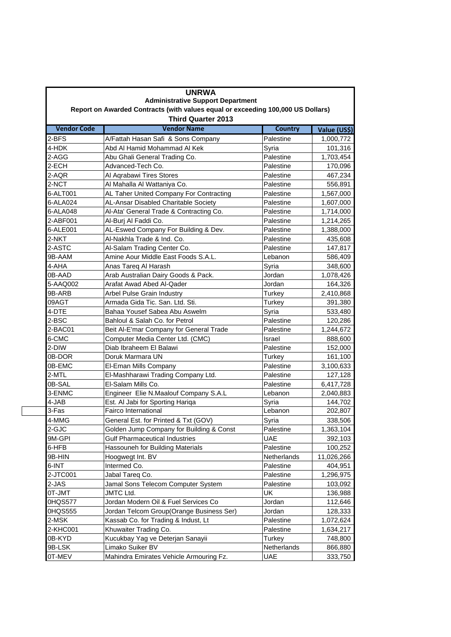|                                          | <b>UNRWA</b>                                                                                                 |                |              |  |  |
|------------------------------------------|--------------------------------------------------------------------------------------------------------------|----------------|--------------|--|--|
| <b>Administrative Support Department</b> |                                                                                                              |                |              |  |  |
|                                          | Report on Awarded Contracts (with values equal or exceeding 100,000 US Dollars)<br><b>Third Quarter 2013</b> |                |              |  |  |
|                                          |                                                                                                              |                |              |  |  |
| <b>Vendor Code</b>                       | <b>Vendor Name</b>                                                                                           | <b>Country</b> | Value (US\$) |  |  |
| 2-BFS                                    | A/Fattah Hasan Safi & Sons Company                                                                           | Palestine      | 1,000,772    |  |  |
| 4-HDK                                    | Abd Al Hamid Mohammad Al Kek                                                                                 | Syria          | 101,316      |  |  |
| 2-AGG                                    | Abu Ghali General Trading Co.                                                                                | Palestine      | 1,703,454    |  |  |
| 2-ECH                                    | Advanced-Tech Co.                                                                                            | Palestine      | 170,096      |  |  |
| 2-AQR                                    | Al Aqrabawi Tires Stores                                                                                     | Palestine      | 467,234      |  |  |
| 2-NCT                                    | Al Mahalla Al Wattaniya Co.                                                                                  | Palestine      | 556,891      |  |  |
| 6-ALT001                                 | AL Taher United Company For Contracting                                                                      | Palestine      | 1,567,000    |  |  |
| 6-ALA024                                 | AL-Ansar Disabled Charitable Society                                                                         | Palestine      | 1,607,000    |  |  |
| 6-ALA048                                 | Al-Ata' General Trade & Contracting Co.                                                                      | Palestine      | 1,714,000    |  |  |
| 2-ABF001                                 | Al-Burj Al Faddi Co.                                                                                         | Palestine      | 1,214,265    |  |  |
| 6-ALE001                                 | AL-Eswed Company For Building & Dev.                                                                         | Palestine      | 1,388,000    |  |  |
| 2-NKT                                    | Al-Nakhla Trade & Ind. Co.                                                                                   | Palestine      | 435,608      |  |  |
| 2-ASTC                                   | Al-Salam Trading Center Co.                                                                                  | Palestine      | 147,817      |  |  |
| 9B-AAM                                   | Amine Aour Middle East Foods S.A.L.                                                                          | Lebanon        | 586,409      |  |  |
| 4-AHA                                    | Anas Tareg Al Harash                                                                                         | Syria          | 348,600      |  |  |
| 0B-AAD                                   | Arab Australian Dairy Goods & Pack.                                                                          | Jordan         | 1,078,426    |  |  |
| 5-AAQ002                                 | Arafat Awad Abed Al-Qader                                                                                    | Jordan         | 164,326      |  |  |
| 9B-ARB                                   | Arbel Pulse Grain Industry                                                                                   | Turkey         | 2,410,868    |  |  |
| 09AGT                                    | Armada Gida Tic. San. Ltd. Sti.                                                                              | Turkey         | 391,380      |  |  |
| 4-DTE                                    | Bahaa Yousef Sabea Abu Aswelm                                                                                | Syria          | 533,480      |  |  |
| 2-BSC                                    | Bahloul & Salah Co. for Petrol                                                                               | Palestine      | 120,286      |  |  |
| 2-BAC01                                  | Beit Al-E'mar Company for General Trade                                                                      | Palestine      | 1,244,672    |  |  |
| 6-CMC                                    | Computer Media Center Ltd. (CMC)                                                                             | Israel         | 888,600      |  |  |
| 2-DIW                                    | Diab Ibraheem El Balawi                                                                                      | Palestine      | 152,000      |  |  |
| 0B-DOR                                   | Doruk Marmara UN                                                                                             | Turkey         | 161,100      |  |  |
| 0B-EMC                                   | El-Eman Mills Company                                                                                        | Palestine      | 3,100,633    |  |  |
| 2-MTL                                    | El-Mashharawi Trading Company Ltd.                                                                           | Palestine      | 127,128      |  |  |
| 0B-SAL                                   | El-Salam Mills Co.                                                                                           | Palestine      | 6,417,728    |  |  |
| 3-ENMC                                   | Engineer Elie N.Maalouf Company S.A.L                                                                        | Lebanon        | 2,040,883    |  |  |
| 4-JAB                                    | Est. Al Jabi for Sporting Hariqa                                                                             | Syria          | 144,702      |  |  |
| 3-Fas                                    | <b>Fairco International</b>                                                                                  | Lebanon        | 202,807      |  |  |
| 4-MMG                                    | General Est. for Printed & Txt (GOV)                                                                         | Syria          | 338,506      |  |  |
| 2-GJC                                    | Golden Jump Company for Building & Const                                                                     | Palestine      | 1,363,104    |  |  |
| 9M-GPI                                   | <b>Gulf Pharmaceutical Industries</b>                                                                        | UAE            | 392,103      |  |  |
| 6-HFB                                    | Hassouneh for Building Materials                                                                             | Palestine      | 100,252      |  |  |
| 9B-HIN                                   | Hoogwegt Int. BV                                                                                             | Netherlands    | 11,026,266   |  |  |
| 6-INT                                    | Intermed Co.                                                                                                 | Palestine      | 404,951      |  |  |
| 2-JTC001                                 | Jabal Tareq Co.                                                                                              | Palestine      | 1,296,975    |  |  |
| 2-JAS                                    | Jamal Sons Telecom Computer System                                                                           | Palestine      | 103,092      |  |  |
| OT-JMT                                   | <b>JMTC Ltd.</b>                                                                                             | UK             | 136,988      |  |  |
| 0HQS577                                  | Jordan Modern Oil & Fuel Services Co                                                                         | Jordan         | 112,646      |  |  |
| 0HQS555                                  | Jordan Telcom Group(Orange Business Ser)                                                                     | Jordan         | 128,333      |  |  |
| 2-MSK                                    | Kassab Co. for Trading & Indust, Lt                                                                          | Palestine      | 1,072,624    |  |  |
| 2-KHC001                                 | Khuwaiter Trading Co.                                                                                        | Palestine      | 1,634,217    |  |  |
| 0B-KYD                                   | Kucukbay Yag ve Deterjan Sanayii                                                                             | Turkey         | 748,800      |  |  |
| 9B-LSK                                   | Limako Suiker BV                                                                                             | Netherlands    | 866,880      |  |  |
| 0T-MEV                                   | Mahindra Emirates Vehicle Armouring Fz.                                                                      | UAE            | 333,750      |  |  |